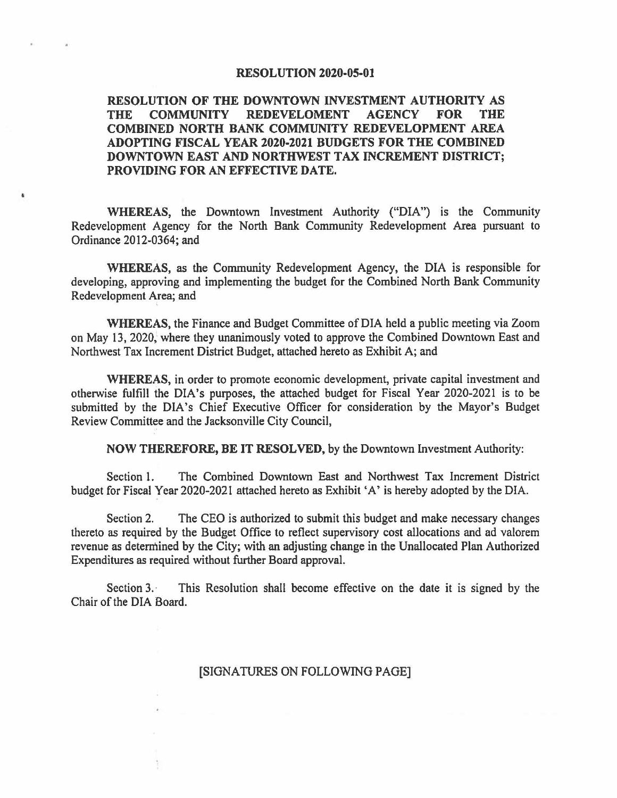#### **RESOLUTION 2020-05-01**

## **RESOLUTION OF THE DOWNTOWN INVESTMENT AUTHORITY AS THE COMMUNITY REDEVELOMENT AGENCY FOR THE COMBINED NORTH BANK COMMUNITY REDEVELOPMENT AREA ADOPTING FISCAL YEAR 2020-2021 BUDGETS FOR THE COMBINED DOWNTOWN EAST AND NORTHWEST TAX INCREMENT DISTRICT; PROVIDING FOR AN EFFECTIVE DATE.**

**WHEREAS,** the Downtown Investment Authority ("DIA"} is the Community Redevelopment Agency for the North Bank Community Redevelopment Area pursuant to Ordinance 2012-0364; and

•

**WHEREAS,** as the Community Redevelopment Agency, the DIA is responsible for developing, approving and implementing the budget for the Combined North Bank Community Redevelopment Area; and

**WHEREAS,** the Finance and Budget Committee of DIA held a public meeting via Zoom on May 13, 2020, where they unanimously voted to approve the Combined Downtown East and Northwest Tax Increment District Budget, attached hereto as Exhibit A; and

**WHEREAS,** in order to promote economic development, private capital investment and otherwise fulfill the DIA's purposes, the attached budget for Fiscal Year 2020-2021 is to be submitted by the DIA's Chief Executive Officer for consideration by the Mayor's Budget Review Committee and the Jacksonville City Council,

**NOW THEREFORE, BE IT RESOLVED,** by the Downtown Investment Authority:

Section 1. The Combined Downtown East and Northwest Tax Increment District budget for Fiscal Year 2020-2021 attached hereto as Exhibit 'A' is hereby adopted by the DIA.

Section 2. The CEO is authorized to submit this budget and make necessary changes thereto as required by the Budget Office to reflect supervisory cost allocations and ad valorem revenue as determined by the City; with an adjusting change in the Unallocated Plan Authorized Expenditures as required without further Board approval.

Section 3. This Resolution shall become effective on the date it is signed by the Chair of the DIA Board.

### [SIGNATURES ON FOLLOWING PAGE]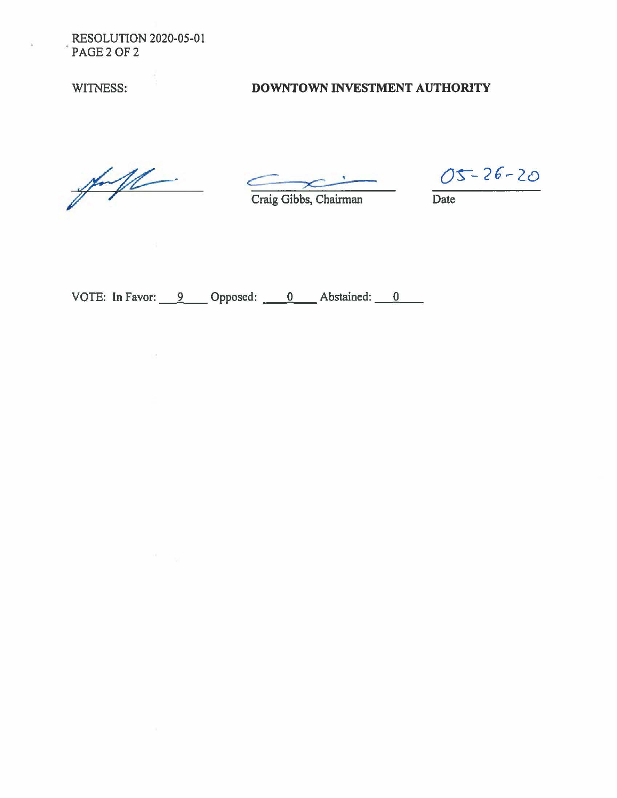**RESOLUTION 2020-05-01** PAGE 2 OF 2

WITNESS:

# DOWNTOWN INVESTMENT AUTHORITY

 $#11$ 

 $\sim 1.5$ 

Craig Gibbs, Chairman

 $05 - 26 - 20$ 

Date

VOTE: In Favor: 9 Opposed: 0 Abstained: 0